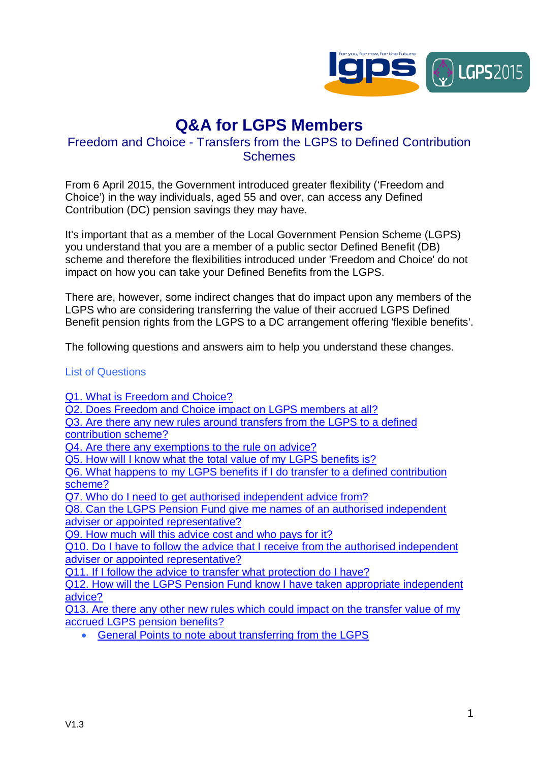

# **Q&A for LGPS Members**

# Freedom and Choice - Transfers from the LGPS to Defined Contribution **Schemes**

From 6 April 2015, the Government introduced greater flexibility ('Freedom and Choice') in the way individuals, aged 55 and over, can access any Defined Contribution (DC) pension savings they may have.

It's important that as a member of the Local Government Pension Scheme (LGPS) you understand that you are a member of a public sector Defined Benefit (DB) scheme and therefore the flexibilities introduced under 'Freedom and Choice' do not impact on how you can take your Defined Benefits from the LGPS.

There are, however, some indirect changes that do impact upon any members of the LGPS who are considering transferring the value of their accrued LGPS Defined Benefit pension rights from the LGPS to a DC arrangement offering 'flexible benefits'.

The following questions and answers aim to help you understand these changes.

# List of Questions

Q1. What is Freedom and Choice?

Q2. Does Freedom and Choice impact on LGPS members at all?

- Q3. Are there any new rules around transfers from the LGPS to a defined
- contribution scheme?

Q4. Are there any exemptions to the rule on advice?

Q5. How will I know what the total value of my LGPS benefits is?

Q6. What happens to my LGPS benefits if I do transfer to a defined contribution scheme?

Q7. Who do I need to get authorised independent advice from?

Q8. Can the LGPS Pension Fund give me names of an authorised independent adviser or appointed representative?

Q9. How much will this advice cost and who pays for it?

Q10. Do I have to follow the advice that I receive from the authorised independent adviser or appointed representative?

Q11. If I follow the advice to transfer what protection do I have?

Q12. How will the LGPS Pension Fund know I have taken appropriate independent advice?

Q13. Are there any other new rules which could impact on the transfer value of my accrued LGPS pension benefits?

� General Points to note about transferring from the LGPS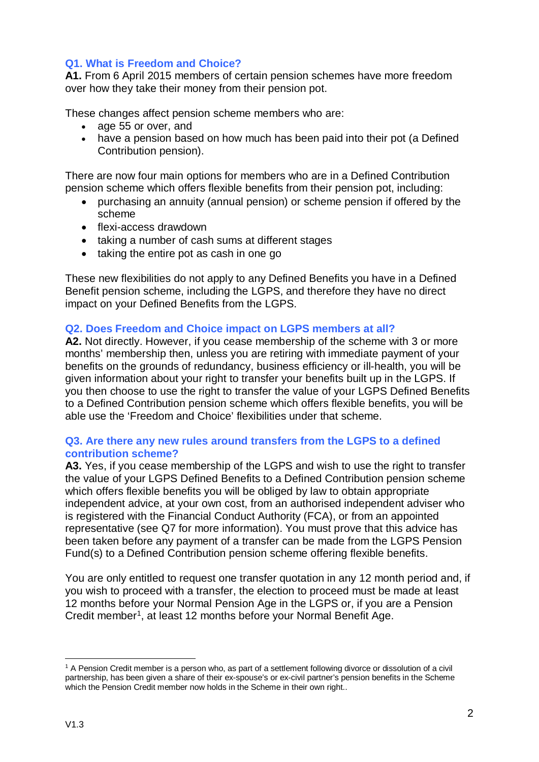# **Q1. What is Freedom and Choice?**

**A1.** From 6 April 2015 members of certain pension schemes have more freedom over how they take their money from their pension pot.

These changes affect pension scheme members who are:

- age 55 or over, and
- have a pension based on how much has been paid into their pot (a Defined Contribution pension).

There are now four main options for members who are in a Defined Contribution pension scheme which offers flexible benefits from their pension pot, including:

- � purchasing an annuity (annual pension) or scheme pension if offered by the scheme
- $\bullet$  flexi-access drawdown
- taking a number of cash sums at different stages
- taking the entire pot as cash in one go

These new flexibilities do not apply to any Defined Benefits you have in a Defined Benefit pension scheme, including the LGPS, and therefore they have no direct impact on your Defined Benefits from the LGPS.

# **Q2. Does Freedom and Choice impact on LGPS members at all?**

**A2.** Not directly. However, if you cease membership of the scheme with 3 or more months' membership then, unless you are retiring with immediate payment of your benefits on the grounds of redundancy, business efficiency or ill-health, you will be given information about your right to transfer your benefits built up in the LGPS. If you then choose to use the right to transfer the value of your LGPS Defined Benefits to a Defined Contribution pension scheme which offers flexible benefits, you will be able use the 'Freedom and Choice' flexibilities under that scheme.

## **Q3. Are there any new rules around transfers from the LGPS to a defined contribution scheme?**

**A3.** Yes, if you cease membership of the LGPS and wish to use the right to transfer the value of your LGPS Defined Benefits to a Defined Contribution pension scheme which offers flexible benefits you will be obliged by law to obtain appropriate independent advice, at your own cost, from an authorised independent adviser who is registered with the Financial Conduct Authority (FCA), or from an appointed representative (see Q7 for more information). You must prove that this advice has been taken before any payment of a transfer can be made from the LGPS Pension Fund(s) to a Defined Contribution pension scheme offering flexible benefits.

You are only entitled to request one transfer quotation in any 12 month period and, if you wish to proceed with a transfer, the election to proceed must be made at least 12 months before your Normal Pension Age in the LGPS or, if you are a Pension Credit member<sup>1</sup>, at least 12 months before your Normal Benefit Age.

<sup>-</sup>1 A Pension Credit member is a person who, as part of a settlement following divorce or dissolution of a civil partnership, has been given a share of their ex-spouse's or ex-civil partner's pension benefits in the Scheme which the Pension Credit member now holds in the Scheme in their own right..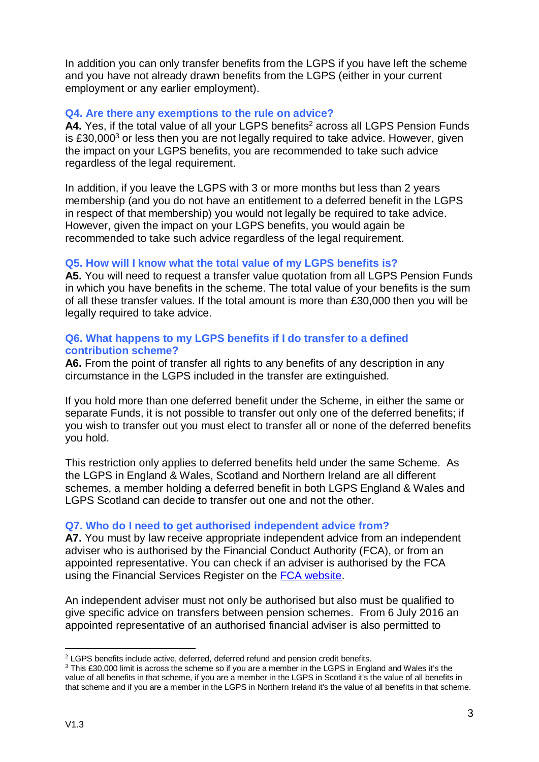In addition you can only transfer benefits from the LGPS if you have left the scheme and you have not already drawn benefits from the LGPS (either in your current employment or any earlier employment).

# **Q4. Are there any exemptions to the rule on advice?**

A4. Yes, if the total value of all your LGPS benefits<sup>2</sup> across all LGPS Pension Funds is  $£30,000<sup>3</sup>$  or less then you are not legally required to take advice. However, given the impact on your LGPS benefits, you are recommended to take such advice regardless of the legal requirement.

In addition, if you leave the LGPS with 3 or more months but less than 2 years membership (and you do not have an entitlement to a deferred benefit in the LGPS in respect of that membership) you would not legally be required to take advice. However, given the impact on your LGPS benefits, you would again be recommended to take such advice regardless of the legal requirement.

# **Q5. How will I know what the total value of my LGPS benefits is?**

**A5.** You will need to request a transfer value quotation from all LGPS Pension Funds in which you have benefits in the scheme. The total value of your benefits is the sum of all these transfer values. If the total amount is more than £30,000 then you will be legally required to take advice.

## **Q6. What happens to my LGPS benefits if I do transfer to a defined contribution scheme?**

**A6.** From the point of transfer all rights to any benefits of any description in any circumstance in the LGPS included in the transfer are extinguished.

If you hold more than one deferred benefit under the Scheme, in either the same or separate Funds, it is not possible to transfer out only one of the deferred benefits; if you wish to transfer out you must elect to transfer all or none of the deferred benefits you hold.

This restriction only applies to deferred benefits held under the same Scheme. As the LGPS in England & Wales, Scotland and Northern Ireland are all different schemes, a member holding a deferred benefit in both LGPS England & Wales and LGPS Scotland can decide to transfer out one and not the other.

#### **Q7. Who do I need to get authorised independent advice from?**

**A7.** You must by law receive appropriate independent advice from an independent adviser who is authorised by the Financial Conduct Authority (FCA), or from an appointed representative. You can check if an adviser is authorised by the FCA using the Financial Services Register on the FCA website.

An independent adviser must not only be authorised but also must be qualified to give specific advice on transfers between pension schemes. From 6 July 2016 an appointed representative of an authorised financial adviser is also permitted to

<sup>&</sup>lt;sup>2</sup> LGPS benefits include active, deferred, deferred refund and pension credit benefits.

<sup>&</sup>lt;sup>3</sup> This £30,000 limit is across the scheme so if you are a member in the LGPS in England and Wales it's the value of all benefits in that scheme, if you are a member in the LGPS in Scotland it's the value of all benefits in that scheme and if you are a member in the LGPS in Northern Ireland it's the value of all benefits in that scheme.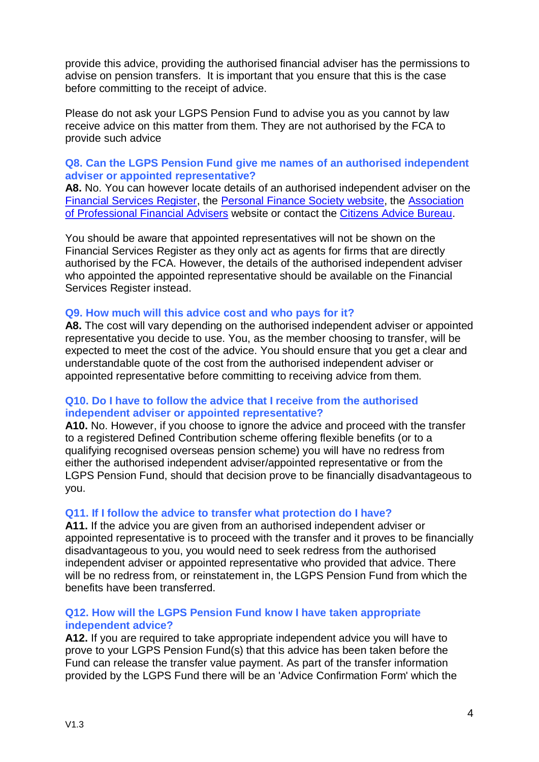provide this advice, providing the authorised financial adviser has the permissions to advise on pension transfers. It is important that you ensure that this is the case before committing to the receipt of advice.

Please do not ask your LGPS Pension Fund to advise you as you cannot by law receive advice on this matter from them. They are not authorised by the FCA to provide such advice

# **Q8. Can the LGPS Pension Fund give me names of an authorised independent adviser or appointed representative?**

**A8.** No. You can however locate details of an authorised independent adviser on the Financial Services Register, the Personal Finance Society website, the Association of Professional Financial Advisers website or contact the Citizens Advice Bureau.

You should be aware that appointed representatives will not be shown on the Financial Services Register as they only act as agents for firms that are directly authorised by the FCA. However, the details of the authorised independent adviser who appointed the appointed representative should be available on the Financial Services Register instead.

## **Q9. How much will this advice cost and who pays for it?**

**A8.** The cost will vary depending on the authorised independent adviser or appointed representative you decide to use. You, as the member choosing to transfer, will be expected to meet the cost of the advice. You should ensure that you get a clear and understandable quote of the cost from the authorised independent adviser or appointed representative before committing to receiving advice from them.

## **Q10. Do I have to follow the advice that I receive from the authorised independent adviser or appointed representative?**

**A10.** No. However, if you choose to ignore the advice and proceed with the transfer to a registered Defined Contribution scheme offering flexible benefits (or to a qualifying recognised overseas pension scheme) you will have no redress from either the authorised independent adviser/appointed representative or from the LGPS Pension Fund, should that decision prove to be financially disadvantageous to you.

# **Q11. If I follow the advice to transfer what protection do I have?**

**A11.** If the advice you are given from an authorised independent adviser or appointed representative is to proceed with the transfer and it proves to be financially disadvantageous to you, you would need to seek redress from the authorised independent adviser or appointed representative who provided that advice. There will be no redress from, or reinstatement in, the LGPS Pension Fund from which the benefits have been transferred.

# **Q12. How will the LGPS Pension Fund know I have taken appropriate independent advice?**

**A12.** If you are required to take appropriate independent advice you will have to prove to your LGPS Pension Fund(s) that this advice has been taken before the Fund can release the transfer value payment. As part of the transfer information provided by the LGPS Fund there will be an 'Advice Confirmation Form' which the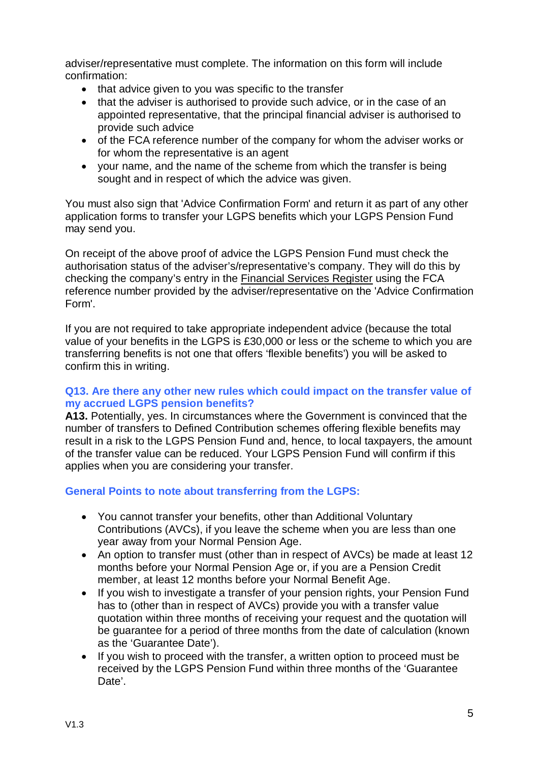adviser/representative must complete. The information on this form will include confirmation:

- that advice given to you was specific to the transfer
- that the adviser is authorised to provide such advice, or in the case of an appointed representative, that the principal financial adviser is authorised to provide such advice
- of the FCA reference number of the company for whom the adviser works or for whom the representative is an agent
- � your name, and the name of the scheme from which the transfer is being sought and in respect of which the advice was given.

You must also sign that 'Advice Confirmation Form' and return it as part of any other application forms to transfer your LGPS benefits which your LGPS Pension Fund may send you.

On receipt of the above proof of advice the LGPS Pension Fund must check the authorisation status of the adviser's/representative's company. They will do this by checking the company's entry in the Financial Services Register using the FCA reference number provided by the adviser/representative on the 'Advice Confirmation Form'.

If you are not required to take appropriate independent advice (because the total value of your benefits in the LGPS is £30,000 or less or the scheme to which you are transferring benefits is not one that offers 'flexible benefits') you will be asked to confirm this in writing.

# **Q13. Are there any other new rules which could impact on the transfer value of my accrued LGPS pension benefits?**

**A13.** Potentially, yes. In circumstances where the Government is convinced that the number of transfers to Defined Contribution schemes offering flexible benefits may result in a risk to the LGPS Pension Fund and, hence, to local taxpayers, the amount of the transfer value can be reduced. Your LGPS Pension Fund will confirm if this applies when you are considering your transfer.

# **General Points to note about transferring from the LGPS:**

- You cannot transfer your benefits, other than Additional Voluntary Contributions (AVCs), if you leave the scheme when you are less than one year away from your Normal Pension Age.
- An option to transfer must (other than in respect of AVCs) be made at least 12 months before your Normal Pension Age or, if you are a Pension Credit member, at least 12 months before your Normal Benefit Age.
- � If you wish to investigate a transfer of your pension rights, your Pension Fund has to (other than in respect of AVCs) provide you with a transfer value quotation within three months of receiving your request and the quotation will be guarantee for a period of three months from the date of calculation (known as the 'Guarantee Date').
- � If you wish to proceed with the transfer, a written option to proceed must be received by the LGPS Pension Fund within three months of the 'Guarantee Date'.